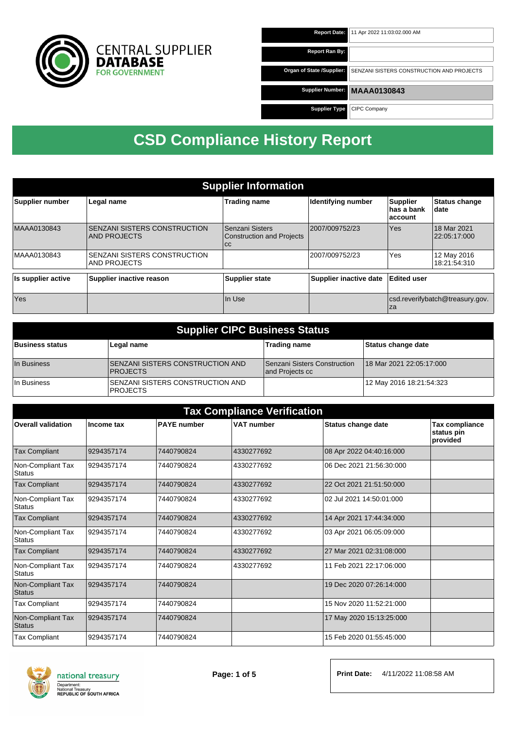

| <b>Report Date:</b>       | 11 Apr 2022 11:03:02.000 AM               |
|---------------------------|-------------------------------------------|
| <b>Report Ran By:</b>     |                                           |
| Organ of State /Supplier: | SENZANI SISTERS CONSTRUCTION AND PROJECTS |
| <b>Supplier Number:</b>   | <b>MAAA0130843</b>                        |
| <b>Supplier Type</b>      | CIPC Company                              |

| <b>Supplier Information</b> |                                              |                                                               |                        |                                           |                                 |  |
|-----------------------------|----------------------------------------------|---------------------------------------------------------------|------------------------|-------------------------------------------|---------------------------------|--|
| Supplier number             | Legal name                                   | <b>Trading name</b>                                           | Identifying number     | <b>Supplier</b><br>∣has a bank<br>account | <b>Status change</b><br>∣date   |  |
| MAAA0130843                 | SENZANI SISTERS CONSTRUCTION<br>AND PROJECTS | l Senzani Sisters<br><b>Construction and Projects</b><br>l cc | 2007/009752/23         | <b>Yes</b>                                | 18 Mar 2021<br>22:05:17:000     |  |
| MAAA0130843                 | SENZANI SISTERS CONSTRUCTION<br>AND PROJECTS |                                                               | 2007/009752/23         | Yes                                       | 12 May 2016<br>18:21:54:310     |  |
| Is supplier active          | Supplier inactive reason                     | <b>Supplier state</b>                                         | Supplier inactive date | Edited user                               |                                 |  |
| Yes                         |                                              | In Use                                                        |                        | Iza                                       | csd.reverifybatch@treasury.gov. |  |

| <b>Supplier CIPC Business Status</b> |                                                      |                                                 |                          |  |  |
|--------------------------------------|------------------------------------------------------|-------------------------------------------------|--------------------------|--|--|
| <b>Business status</b>               | Legal name                                           | <b>Trading name</b>                             | Status change date       |  |  |
| In Business                          | ISENZANI SISTERS CONSTRUCTION AND<br><b>PROJECTS</b> | Senzani Sisters Construction<br>and Projects cc | 18 Mar 2021 22:05:17:000 |  |  |
| In Business                          | SENZANI SISTERS CONSTRUCTION AND<br><b>IPROJECTS</b> |                                                 | 12 May 2016 18:21:54:323 |  |  |

| <b>Tax Compliance Verification</b> |            |                    |                   |                          |                                          |  |
|------------------------------------|------------|--------------------|-------------------|--------------------------|------------------------------------------|--|
| <b>Overall validation</b>          | Income tax | <b>PAYE</b> number | <b>VAT number</b> | Status change date       | Tax compliance<br>status pin<br>provided |  |
| <b>Tax Compliant</b>               | 9294357174 | 7440790824         | 4330277692        | 08 Apr 2022 04:40:16:000 |                                          |  |
| Non-Compliant Tax<br><b>Status</b> | 9294357174 | 7440790824         | 4330277692        | 06 Dec 2021 21:56:30:000 |                                          |  |
| <b>Tax Compliant</b>               | 9294357174 | 7440790824         | 4330277692        | 22 Oct 2021 21:51:50:000 |                                          |  |
| Non-Compliant Tax<br><b>Status</b> | 9294357174 | 7440790824         | 4330277692        | 02 Jul 2021 14:50:01:000 |                                          |  |
| <b>Tax Compliant</b>               | 9294357174 | 7440790824         | 4330277692        | 14 Apr 2021 17:44:34:000 |                                          |  |
| Non-Compliant Tax<br><b>Status</b> | 9294357174 | 7440790824         | 4330277692        | 03 Apr 2021 06:05:09:000 |                                          |  |
| <b>Tax Compliant</b>               | 9294357174 | 7440790824         | 4330277692        | 27 Mar 2021 02:31:08:000 |                                          |  |
| Non-Compliant Tax<br>Status        | 9294357174 | 7440790824         | 4330277692        | 11 Feb 2021 22:17:06:000 |                                          |  |
| Non-Compliant Tax<br><b>Status</b> | 9294357174 | 7440790824         |                   | 19 Dec 2020 07:26:14:000 |                                          |  |
| <b>Tax Compliant</b>               | 9294357174 | 7440790824         |                   | 15 Nov 2020 11:52:21:000 |                                          |  |
| Non-Compliant Tax<br><b>Status</b> | 9294357174 | 7440790824         |                   | 17 May 2020 15:13:25:000 |                                          |  |
| <b>Tax Compliant</b>               | 9294357174 | 7440790824         |                   | 15 Feb 2020 01:55:45:000 |                                          |  |

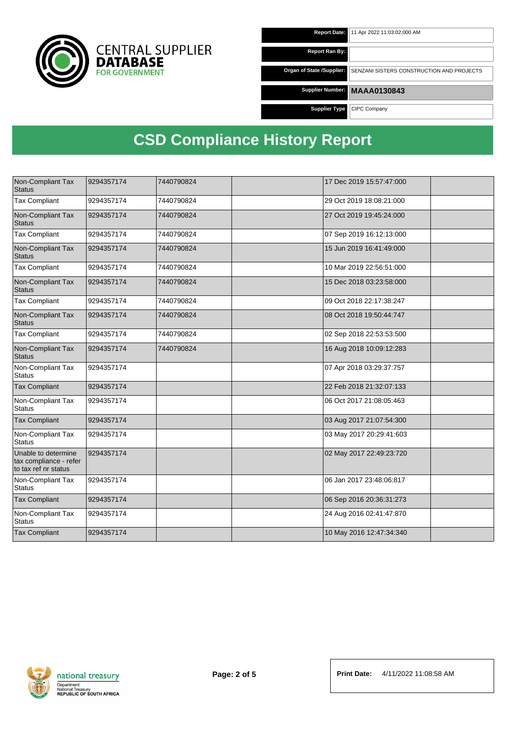

| <b>Report Date:</b>       | 11 Apr 2022 11:03:02.000 AM               |
|---------------------------|-------------------------------------------|
|                           |                                           |
| Report Ran By:            |                                           |
|                           |                                           |
| Organ of State /Supplier: | SENZANI SISTERS CONSTRUCTION AND PROJECTS |
|                           |                                           |
|                           |                                           |
| <b>Supplier Number:</b>   | <b>MAAA0130843</b>                        |
|                           |                                           |
| <b>Supplier Type</b>      | CIPC Company                              |
|                           |                                           |

| Non-Compliant Tax<br><b>Status</b>                                    | 9294357174 | 7440790824 | 17 Dec 2019 15:57:47:000 |  |
|-----------------------------------------------------------------------|------------|------------|--------------------------|--|
| <b>Tax Compliant</b>                                                  | 9294357174 | 7440790824 | 29 Oct 2019 18:08:21:000 |  |
| Non-Compliant Tax<br><b>Status</b>                                    | 9294357174 | 7440790824 | 27 Oct 2019 19:45:24:000 |  |
| <b>Tax Compliant</b>                                                  | 9294357174 | 7440790824 | 07 Sep 2019 16:12:13:000 |  |
| Non-Compliant Tax<br><b>Status</b>                                    | 9294357174 | 7440790824 | 15 Jun 2019 16:41:49:000 |  |
| <b>Tax Compliant</b>                                                  | 9294357174 | 7440790824 | 10 Mar 2019 22:56:51:000 |  |
| Non-Compliant Tax<br><b>Status</b>                                    | 9294357174 | 7440790824 | 15 Dec 2018 03:23:58:000 |  |
| <b>Tax Compliant</b>                                                  | 9294357174 | 7440790824 | 09 Oct 2018 22:17:38:247 |  |
| Non-Compliant Tax<br><b>Status</b>                                    | 9294357174 | 7440790824 | 08 Oct 2018 19:50:44:747 |  |
| <b>Tax Compliant</b>                                                  | 9294357174 | 7440790824 | 02 Sep 2018 22:53:53:500 |  |
| Non-Compliant Tax<br><b>Status</b>                                    | 9294357174 | 7440790824 | 16 Aug 2018 10:09:12:283 |  |
| Non-Compliant Tax<br><b>Status</b>                                    | 9294357174 |            | 07 Apr 2018 03:29:37:757 |  |
| <b>Tax Compliant</b>                                                  | 9294357174 |            | 22 Feb 2018 21:32:07:133 |  |
| Non-Compliant Tax<br><b>Status</b>                                    | 9294357174 |            | 06 Oct 2017 21:08:05:463 |  |
| <b>Tax Compliant</b>                                                  | 9294357174 |            | 03 Aug 2017 21:07:54:300 |  |
| Non-Compliant Tax<br><b>Status</b>                                    | 9294357174 |            | 03 May 2017 20:29:41:603 |  |
| Unable to determine<br>tax compliance - refer<br>to tax ref nr status | 9294357174 |            | 02 May 2017 22:49:23:720 |  |
| Non-Compliant Tax<br><b>Status</b>                                    | 9294357174 |            | 06 Jan 2017 23:48:06:817 |  |
| <b>Tax Compliant</b>                                                  | 9294357174 |            | 06 Sep 2016 20:36:31:273 |  |
| Non-Compliant Tax<br><b>Status</b>                                    | 9294357174 |            | 24 Aug 2016 02:41:47:870 |  |
| <b>Tax Compliant</b>                                                  | 9294357174 |            | 10 May 2016 12:47:34:340 |  |

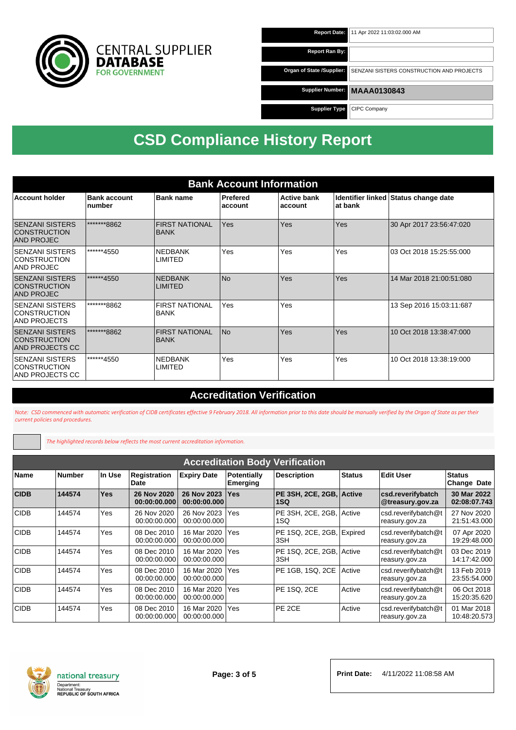

| <b>Report Date:</b>       | 11 Apr 2022 11:03:02.000 AM               |
|---------------------------|-------------------------------------------|
| <b>Report Ran By:</b>     |                                           |
| Organ of State /Supplier: | SENZANI SISTERS CONSTRUCTION AND PROJECTS |
| Supplier Number:          | <b>MAAA0130843</b>                        |
| <b>Supplier Type</b>      | CIPC Company                              |

| <b>Bank Account Information</b>                                         |                               |                                      |                     |                               |         |                                      |
|-------------------------------------------------------------------------|-------------------------------|--------------------------------------|---------------------|-------------------------------|---------|--------------------------------------|
| <b>Account holder</b>                                                   | <b>Bank account</b><br>number | <b>Bank name</b>                     | Prefered<br>account | <b>Active bank</b><br>account | at bank | Identifier linked Status change date |
| <b>SENZANI SISTERS</b><br><b>CONSTRUCTION</b><br><b>AND PROJEC</b>      | *******8862                   | <b>FIRST NATIONAL</b><br><b>BANK</b> | Yes                 | Yes                           | Yes     | 30 Apr 2017 23:56:47:020             |
| <b>SENZANI SISTERS</b><br><b>CONSTRUCTION</b><br>AND PROJEC             | ******4550                    | <b>NEDBANK</b><br>LIMITED            | Yes                 | Yes                           | Yes     | 03 Oct 2018 15:25:55:000             |
| <b>ISENZANI SISTERS</b><br><b>CONSTRUCTION</b><br><b>AND PROJEC</b>     | ******4550                    | <b>NEDBANK</b><br><b>LIMITED</b>     | l No                | Yes                           | Yes     | 14 Mar 2018 21:00:51:080             |
| <b>SENZANI SISTERS</b><br><b>CONSTRUCTION</b><br><b>AND PROJECTS</b>    | *******8862                   | <b>FIRST NATIONAL</b><br><b>BANK</b> | Yes                 | Yes                           |         | 13 Sep 2016 15:03:11:687             |
| <b>SENZANI SISTERS</b><br><b>CONSTRUCTION</b><br><b>AND PROJECTS CC</b> | *******8862                   | <b>FIRST NATIONAL</b><br><b>BANK</b> | <b>No</b>           | Yes                           | Yes     | 10 Oct 2018 13:38:47:000             |
| <b>SENZANI SISTERS</b><br><b>CONSTRUCTION</b><br>AND PROJECTS CC        | ******4550                    | <b>NEDBANK</b><br>LIMITED            | Yes                 | Yes                           | Yes     | 10 Oct 2018 13:38:19:000             |

#### **Accreditation Verification**

Not*e: CSD commenced with automatic verification of CIDB certificates effective 9 February 2018. All information prior to this date should be manually verified by the Organ of State as per their current policies and procedures.*

*The highlighted records below reflects the most current accreditation information.*

|             | <b>Accreditation Body Verification</b> |            |                             |                             |                                |                                  |               |                                       |                              |
|-------------|----------------------------------------|------------|-----------------------------|-----------------------------|--------------------------------|----------------------------------|---------------|---------------------------------------|------------------------------|
| Name        | <b>Number</b>                          | In Use     | Registration<br>Date        | <b>Expiry Date</b>          | <b>Potentially</b><br>Emerging | <b>Description</b>               | <b>Status</b> | <b>Edit User</b>                      | Status<br><b>Change Date</b> |
| <b>CIDB</b> | 144574                                 | <b>Yes</b> | 26 Nov 2020<br>00:00:00.000 | 26 Nov 2023<br>00:00:00.000 | <b>Yes</b>                     | PE 3SH, 2CE, 2GB, Active<br>1SQ  |               | csd.reverifybatch<br>@treasury.gov.za | 30 Mar 2022<br>02:08:07.743  |
| <b>CIDB</b> | 144574                                 | Yes        | 26 Nov 2020<br>00:00:00.000 | 26 Nov 2023<br>00:00:00.000 | Yes                            | PE 3SH, 2CE, 2GB,<br>1SQ         | <b>Active</b> | csd.reverifybatch@t<br>reasury.gov.za | 27 Nov 2020<br>21:51:43.000  |
| <b>CIDB</b> | 144574                                 | Yes        | 08 Dec 2010<br>00:00:00.000 | 16 Mar 2020<br>00:00:00.000 | <b>Yes</b>                     | PE 1SQ, 2CE, 2GB, Expired<br>3SH |               | csd.reverifybatch@t<br>reasury.gov.za | 07 Apr 2020<br>19:29:48.000  |
| <b>CIDB</b> | 144574                                 | Yes        | 08 Dec 2010<br>00:00:00.000 | 16 Mar 2020<br>00:00:00.000 | l Yes                          | PE 1SQ, 2CE, 2GB, Active<br>3SH  |               | csd.reverifybatch@t<br>reasury.gov.za | 03 Dec 2019<br>14:17:42.000  |
| <b>CIDB</b> | 144574                                 | Yes        | 08 Dec 2010<br>00:00:00.000 | 16 Mar 2020<br>00:00:00.000 | Yes                            | PE 1GB, 1SQ, 2CE                 | Active        | csd.reverifybatch@t<br>reasury.gov.za | 13 Feb 2019<br>23:55:54.000  |
| <b>CIDB</b> | 144574                                 | Yes        | 08 Dec 2010<br>00:00:00.000 | 16 Mar 2020<br>00:00:00.000 | Yes                            | PE 1SQ, 2CE                      | Active        | csd.reverifybatch@t<br>reasury.gov.za | 06 Oct 2018<br>15:20:35.620  |
| <b>CIDB</b> | 144574                                 | Yes        | 08 Dec 2010<br>00:00:00.000 | 16 Mar 2020<br>00:00:00.000 | Yes                            | PE 2CE                           | Active        | csd.reverifybatch@t<br>reasury.gov.za | 01 Mar 2018<br>10:48:20.573  |

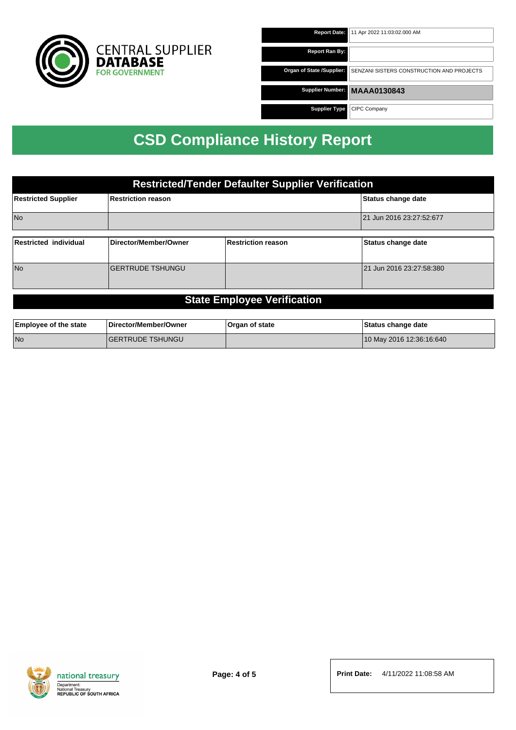

| <b>Report Date:</b>       | 11 Apr 2022 11:03:02.000 AM               |
|---------------------------|-------------------------------------------|
| Report Ran By:            |                                           |
| Organ of State /Supplier: | SENZANI SISTERS CONSTRUCTION AND PROJECTS |
| Supplier Number:          | <b>MAAA0130843</b>                        |
| <b>Supplier Type</b>      | CIPC Company                              |

| <b>Restricted/Tender Defaulter Supplier Verification</b> |                         |                    |                          |  |  |
|----------------------------------------------------------|-------------------------|--------------------|--------------------------|--|--|
| <b>Restricted Supplier</b>                               | Restriction reason      | Status change date |                          |  |  |
| <b>No</b>                                                |                         |                    | 21 Jun 2016 23:27:52:677 |  |  |
| Restricted individual                                    | Director/Member/Owner   | Restriction reason | Status change date       |  |  |
|                                                          |                         |                    |                          |  |  |
| N <sub>o</sub>                                           | <b>GERTRUDE TSHUNGU</b> |                    | 21 Jun 2016 23:27:58:380 |  |  |
|                                                          |                         |                    |                          |  |  |

#### **State Employee Verification**

| <b>Employee of the state</b> | Director/Member/Owner    | Organ of state | Status change date       |
|------------------------------|--------------------------|----------------|--------------------------|
| l No                         | <b>IGERTRUDE TSHUNGU</b> |                | 10 May 2016 12:36:16:640 |